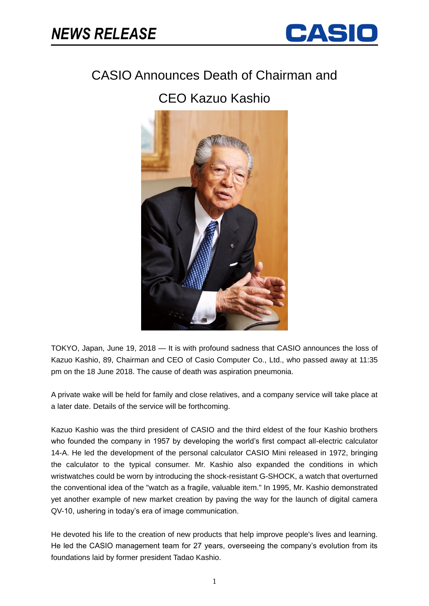

## CASIO Announces Death of Chairman and

## CEO Kazuo Kashio



TOKYO, Japan, June 19, 2018 — It is with profound sadness that CASIO announces the loss of Kazuo Kashio, 89, Chairman and CEO of Casio Computer Co., Ltd., who passed away at 11:35 pm on the 18 June 2018. The cause of death was aspiration pneumonia.

A private wake will be held for family and close relatives, and a company service will take place at a later date. Details of the service will be forthcoming.

Kazuo Kashio was the third president of CASIO and the third eldest of the four Kashio brothers who founded the company in 1957 by developing the world's first compact all-electric calculator 14-A. He led the development of the personal calculator CASIO Mini released in 1972, bringing the calculator to the typical consumer. Mr. Kashio also expanded the conditions in which wristwatches could be worn by introducing the shock-resistant G-SHOCK, a watch that overturned the conventional idea of the "watch as a fragile, valuable item." In 1995, Mr. Kashio demonstrated yet another example of new market creation by paving the way for the launch of digital camera QV-10, ushering in today's era of image communication.

He devoted his life to the creation of new products that help improve people's lives and learning. He led the CASIO management team for 27 years, overseeing the company's evolution from its foundations laid by former president Tadao Kashio.